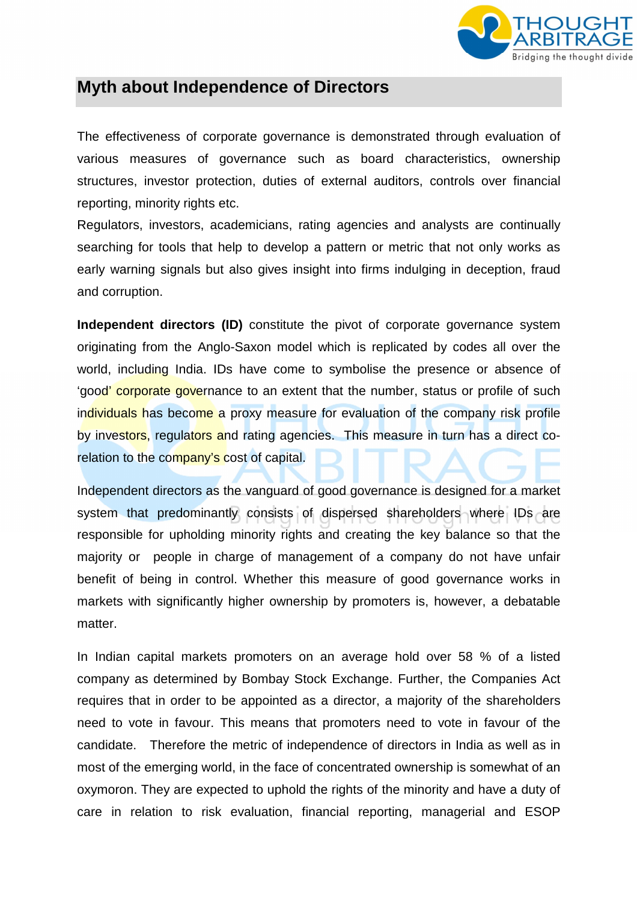

## **Myth about Independence of Directors**

The effectiveness of corporate governance is demonstrated through evaluation of various measures of governance such as board characteristics, ownership structures, investor protection, duties of external auditors, controls over financial reporting, minority rights etc.

Regulators, investors, academicians, rating agencies and analysts are continually searching for tools that help to develop a pattern or metric that not only works as early warning signals but also gives insight into firms indulging in deception, fraud and corruption.

**Independent directors (ID)** constitute the pivot of corporate governance system originating from the Anglo-Saxon model which is replicated by codes all over the world, including India. IDs have come to symbolise the presence or absence of 'good' corporate governance to an extent that the number, status or profile of such individuals has become a proxy measure for evaluation of the company risk profile by investors, regulators and rating agencies. This measure in turn has a direct corelation to the company's cost of capital.

Independent directors as the vanguard of good governance is designed for a market system that predominantly consists of dispersed shareholders where IDs are responsible for upholding minority rights and creating the key balance so that the majority or people in charge of management of a company do not have unfair benefit of being in control. Whether this measure of good governance works in markets with significantly higher ownership by promoters is, however, a debatable matter.

In Indian capital markets promoters on an average hold over 58 % of a listed company as determined by Bombay Stock Exchange. Further, the Companies Act requires that in order to be appointed as a director, a majority of the shareholders need to vote in favour. This means that promoters need to vote in favour of the candidate. Therefore the metric of independence of directors in India as well as in most of the emerging world, in the face of concentrated ownership is somewhat of an oxymoron. They are expected to uphold the rights of the minority and have a duty of care in relation to risk evaluation, financial reporting, managerial and ESOP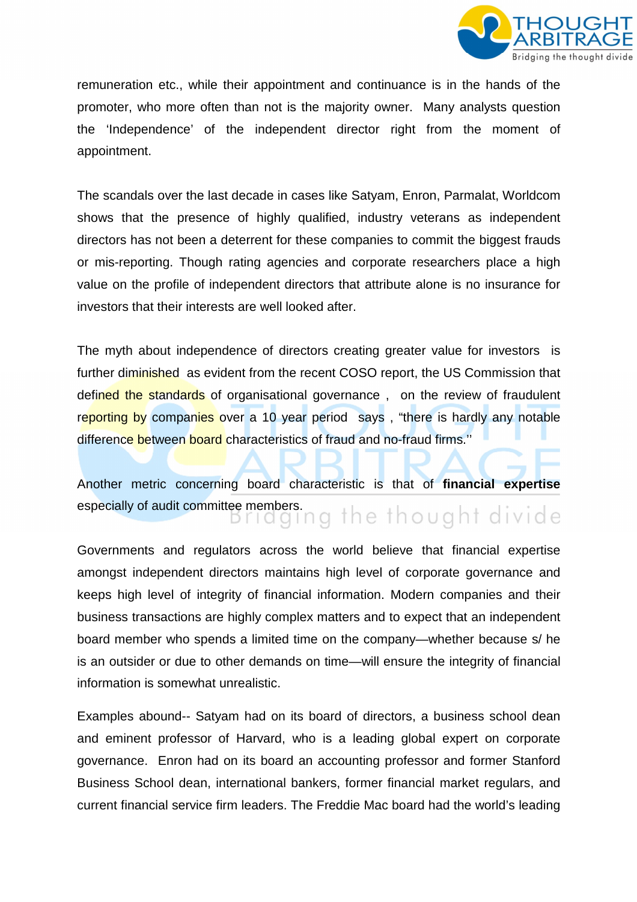

remuneration etc., while their appointment and continuance is in the hands of the promoter, who more often than not is the majority owner. Many analysts question the 'Independence' of the independent director right from the moment of appointment.

The scandals over the last decade in cases like Satyam, Enron, Parmalat, Worldcom shows that the presence of highly qualified, industry veterans as independent directors has not been a deterrent for these companies to commit the biggest frauds or mis-reporting. Though rating agencies and corporate researchers place a high value on the profile of independent directors that attribute alone is no insurance for investors that their interests are well looked after.

The myth about independence of directors creating greater value for investors is further diminished as evident from the recent COSO report, the US Commission that defined the standards of organisational governance, on the review of fraudulent reporting by companies over a 10 year period says, "there is hardly any notable difference between board characteristics of fraud and no-fraud firms."

Another metric concerning board characteristic is that of **financial expertise** especially of audit committee members.<br>**Bridging** the thought divide

Governments and regulators across the world believe that financial expertise amongst independent directors maintains high level of corporate governance and keeps high level of integrity of financial information. Modern companies and their business transactions are highly complex matters and to expect that an independent board member who spends a limited time on the company—whether because s/ he is an outsider or due to other demands on time—will ensure the integrity of financial information is somewhat unrealistic.

Examples abound-- Satyam had on its board of directors, a business school dean and eminent professor of Harvard, who is a leading global expert on corporate governance. Enron had on its board an accounting professor and former Stanford Business School dean, international bankers, former financial market regulars, and current financial service firm leaders. The Freddie Mac board had the world's leading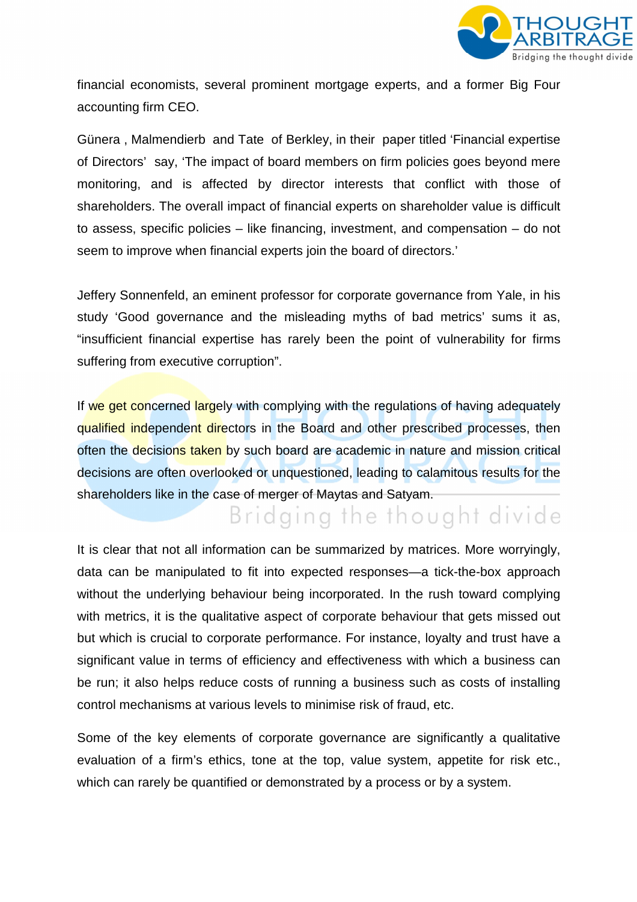

financial economists, several prominent mortgage experts, and a former Big Four accounting firm CEO.

Günera , Malmendierb and Tate of Berkley, in their paper titled 'Financial expertise of Directors' say, 'The impact of board members on firm policies goes beyond mere monitoring, and is affected by director interests that conflict with those of shareholders. The overall impact of financial experts on shareholder value is difficult to assess, specific policies – like financing, investment, and compensation – do not seem to improve when financial experts join the board of directors.'

Jeffery Sonnenfeld, an eminent professor for corporate governance from Yale, in his study 'Good governance and the misleading myths of bad metrics' sums it as, "insufficient financial expertise has rarely been the point of vulnerability for firms suffering from executive corruption".

If we get concerned largely with complying with the regulations of having adequately qualified independent directors in the Board and other prescribed processes, then often the decisions taken by such board are academic in nature and mission critical decisions are often overlooked or unquestioned, leading to calamitous results for the shareholders like in the case of merger of Maytas and Satyam.

## Bridging the thought divide

It is clear that not all information can be summarized by matrices. More worryingly, data can be manipulated to fit into expected responses—a tick-the-box approach without the underlying behaviour being incorporated. In the rush toward complying with metrics, it is the qualitative aspect of corporate behaviour that gets missed out but which is crucial to corporate performance. For instance, loyalty and trust have a significant value in terms of efficiency and effectiveness with which a business can be run; it also helps reduce costs of running a business such as costs of installing control mechanisms at various levels to minimise risk of fraud, etc.

Some of the key elements of corporate governance are significantly a qualitative evaluation of a firm's ethics, tone at the top, value system, appetite for risk etc., which can rarely be quantified or demonstrated by a process or by a system.